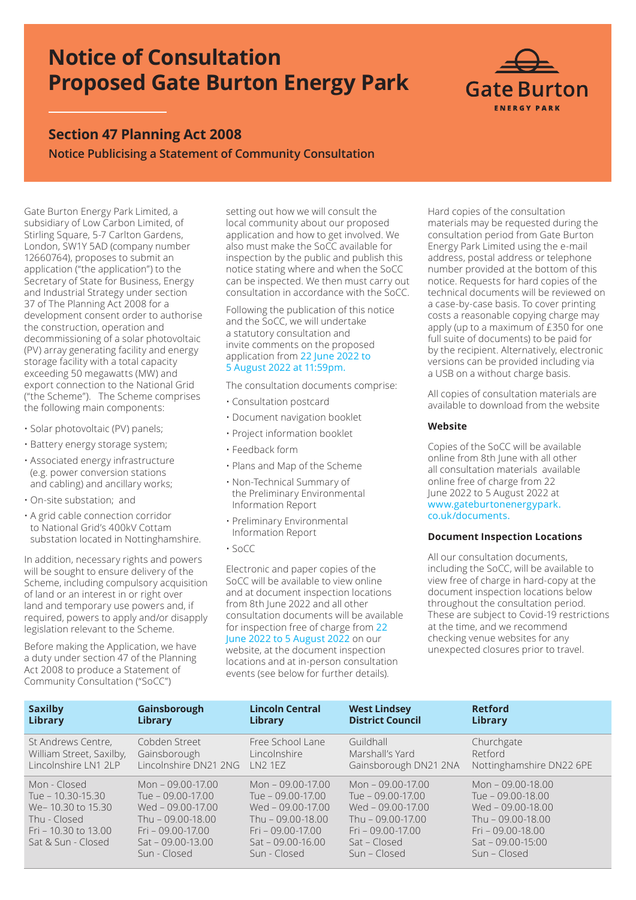# **Notice of Consultation Proposed Gate Burton Energy Park**



# **Section 47 Planning Act 2008 Notice Publicising a Statement of Community Consultation**

Gate Burton Energy Park Limited, a subsidiary of Low Carbon Limited, of Stirling Square, 5-7 Carlton Gardens, London, SW1Y 5AD (company number 12660764), proposes to submit an application ("the application") to the Secretary of State for Business, Energy and Industrial Strategy under section 37 of The Planning Act 2008 for a development consent order to authorise the construction, operation and decommissioning of a solar photovoltaic (PV) array generating facility and energy storage facility with a total capacity exceeding 50 megawatts (MW) and export connection to the National Grid ("the Scheme"). The Scheme comprises the following main components:

- Solar photovoltaic (PV) panels;
- Battery energy storage system;
- Associated energy infrastructure (e.g. power conversion stations and cabling) and ancillary works;
- On-site substation; and
- A grid cable connection corridor to National Grid's 400kV Cottam substation located in Nottinghamshire.

In addition, necessary rights and powers will be sought to ensure delivery of the Scheme, including compulsory acquisition of land or an interest in or right over land and temporary use powers and, if required, powers to apply and/or disapply legislation relevant to the Scheme.

Before making the Application, we have a duty under section 47 of the Planning Act 2008 to produce a Statement of Community Consultation ("SoCC")

setting out how we will consult the local community about our proposed application and how to get involved. We also must make the SoCC available for inspection by the public and publish this notice stating where and when the SoCC can be inspected. We then must carry out consultation in accordance with the SoCC.

Following the publication of this notice and the SoCC, we will undertake a statutory consultation and invite comments on the proposed application from 22 June 2022 to 5 August 2022 at 11:59pm.

The consultation documents comprise:

- Consultation postcard
- Document navigation booklet
- Project information booklet
- Feedback form
- Plans and Map of the Scheme
- Non-Technical Summary of the Preliminary Environmental Information Report
- Preliminary Environmental Information Report
- SoCC

Electronic and paper copies of the SoCC will be available to view online and at document inspection locations from 8th June 2022 and all other consultation documents will be available for inspection free of charge from 22 June 2022 to 5 August 2022 on our website, at the document inspection locations and at in-person consultation events (see below for further details).

Hard copies of the consultation materials may be requested during the consultation period from Gate Burton Energy Park Limited using the e-mail address, postal address or telephone number provided at the bottom of this notice. Requests for hard copies of the technical documents will be reviewed on a case-by-case basis. To cover printing costs a reasonable copying charge may apply (up to a maximum of £350 for one full suite of documents) to be paid for by the recipient. Alternatively, electronic versions can be provided including via a USB on a without charge basis.

All copies of consultation materials are available to download from the website

## **Website**

Copies of the SoCC will be available online from 8th June with all other all consultation materials available online free of charge from 22 June 2022 to 5 August 2022 at www.gateburtonenergypark. co.uk/documents.

# **Document Inspection Locations**

All our consultation documents, including the SoCC, will be available to view free of charge in hard-copy at the document inspection locations below throughout the consultation period. These are subject to Covid-19 restrictions at the time, and we recommend checking venue websites for any unexpected closures prior to travel.

| <b>Saxilby</b>                                                                                                          | Gainsborough                                                                                                                                                    | <b>Lincoln Central</b>                                                                                                                                         | <b>West Lindsey</b>                                                                                                                                     | <b>Retford</b>                                                                                                                                          |
|-------------------------------------------------------------------------------------------------------------------------|-----------------------------------------------------------------------------------------------------------------------------------------------------------------|----------------------------------------------------------------------------------------------------------------------------------------------------------------|---------------------------------------------------------------------------------------------------------------------------------------------------------|---------------------------------------------------------------------------------------------------------------------------------------------------------|
| Library                                                                                                                 | <b>Library</b>                                                                                                                                                  | <b>Library</b>                                                                                                                                                 | <b>District Council</b>                                                                                                                                 | <b>Library</b>                                                                                                                                          |
| St Andrews Centre,                                                                                                      | Cobden Street                                                                                                                                                   | Free School Lane                                                                                                                                               | Guildhall                                                                                                                                               | Churchgate                                                                                                                                              |
| William Street, Saxilby,                                                                                                | Gainsborough                                                                                                                                                    | Lincolnshire                                                                                                                                                   | Marshall's Yard                                                                                                                                         | Retford                                                                                                                                                 |
| Lincolnshire LN1 2LP                                                                                                    | Lincolnshire DN21 2NG                                                                                                                                           | <b>LN2 1EZ</b>                                                                                                                                                 | Gainsborough DN21 2NA                                                                                                                                   | Nottinghamshire DN22 6PE                                                                                                                                |
| Mon - Closed<br>Tue $-10.30 - 15.30$<br>We-10.30 to 15.30<br>Thu - Closed<br>Fri - 10.30 to 13.00<br>Sat & Sun - Closed | Mon $-09.00 - 17.00$<br>Tue $-09.00 - 17.00$<br>Wed $-09.00 - 17.00$<br>Thu - $09.00 - 18.00$<br>$Fri - 09.00 - 17.00$<br>$Sat - 09.00 - 13.00$<br>Sun - Closed | Mon $-09.00 - 17.00$<br>Tue $-09.00 - 17.00$<br>Wed $-09.00 - 17.00$<br>Thu $-09.00 - 18.00$<br>$Fri - 09.00 - 17.00$<br>$Sat - 09.00 - 16.00$<br>Sun - Closed | Mon $-09.00 - 17.00$<br>Tue $-09.00 - 17.00$<br>Wed $-09.00 - 17.00$<br>Thu $-09.00 - 17.00$<br>$Fri - 09.00 - 17.00$<br>Sat – Closed<br>$Sun - Closed$ | Mon - 09.00-18.00<br>Tue - 09.00-18.00<br>Wed $-09.00 - 18.00$<br>Thu - 09.00-18.00<br>$Fri - 09.00 - 18.00$<br>$Sat - 09.00 - 15:00$<br>$Sun$ – Closed |